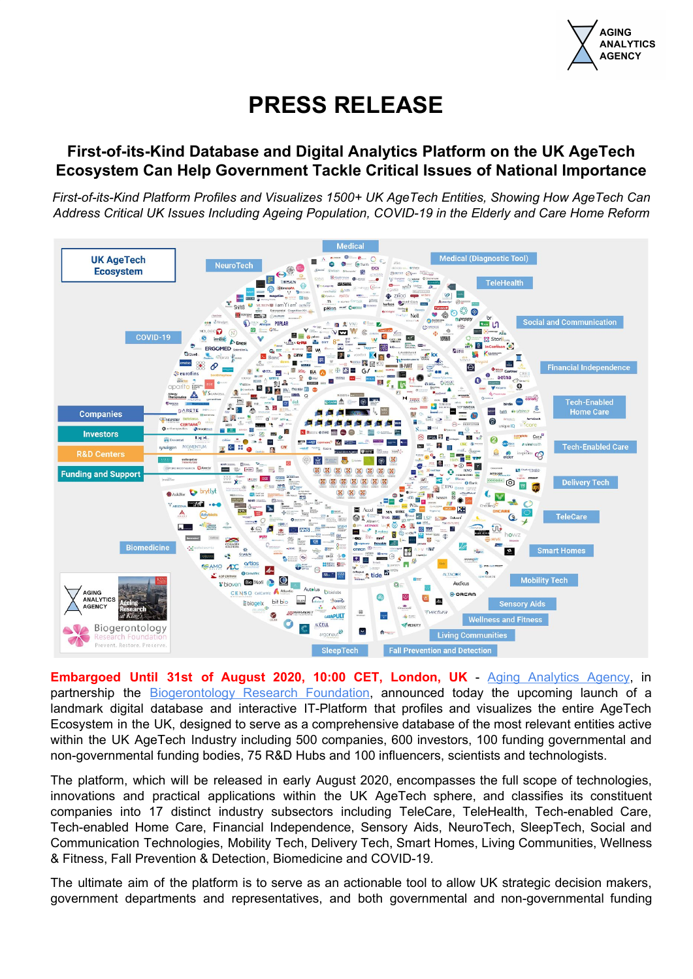

# **PRESS RELEASE**

# **First-of-its-Kind Database and Digital Analytics Platform on the UK AgeTech Ecosystem Can Help Government Tackle Critical Issues of National Importance**

*First-of-its-Kind Platform Profiles and Visualizes 1500+ UK AgeTech Entities, Showing How AgeTech Can Address Critical UK Issues Including Ageing Population, COVID-19 in the Elderly and Care Home Reform*



**Embargoed Until 31st of August 2020, 10:00 CET, London, UK** - Aging [Analytics](https://www.aginganalytics.com/) Agency, in partnership the **[Biogerontology](http://bg-rf.org.uk/) Research Foundation**, announced today the upcoming launch of a landmark digital database and interactive IT-Platform that profiles and visualizes the entire AgeTech Ecosystem in the UK, designed to serve as a comprehensive database of the most relevant entities active within the UK AgeTech Industry including 500 companies, 600 investors, 100 funding governmental and non-governmental funding bodies, 75 R&D Hubs and 100 influencers, scientists and technologists.

The platform, which will be released in early August 2020, encompasses the full scope of technologies, innovations and practical applications within the UK AgeTech sphere, and classifies its constituent companies into 17 distinct industry subsectors including TeleCare, TeleHealth, Tech-enabled Care, Tech-enabled Home Care, Financial Independence, Sensory Aids, NeuroTech, SleepTech, Social and Communication Technologies, Mobility Tech, Delivery Tech, Smart Homes, Living Communities, Wellness & Fitness, Fall Prevention & Detection, Biomedicine and COVID-19.

The ultimate aim of the platform is to serve as an actionable tool to allow UK strategic decision makers, government departments and representatives, and both governmental and non-governmental funding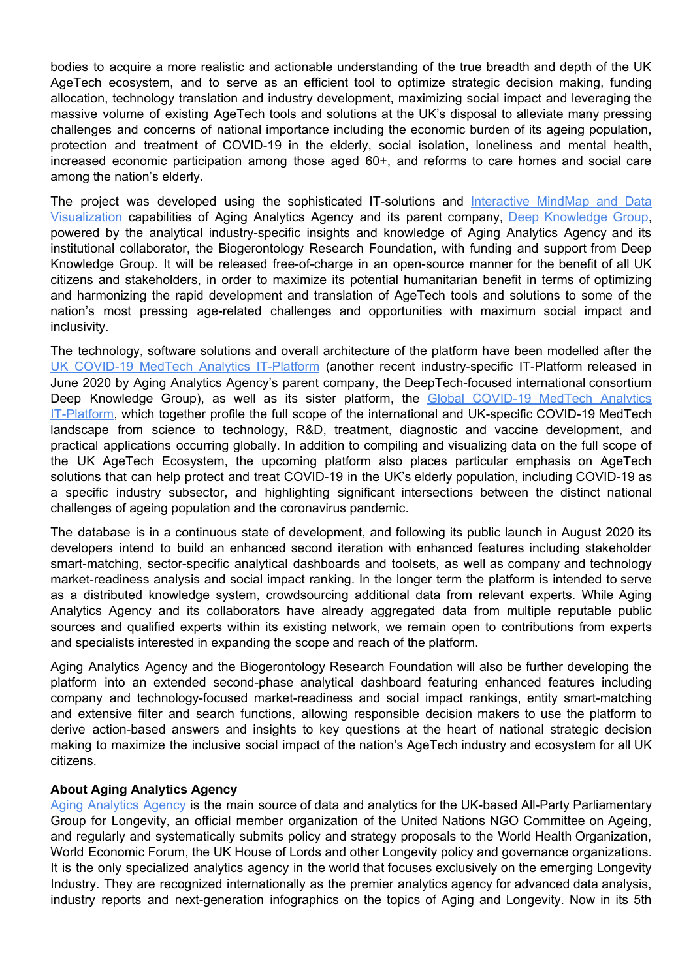bodies to acquire a more realistic and actionable understanding of the true breadth and depth of the UK AgeTech ecosystem, and to serve as an efficient tool to optimize strategic decision making, funding allocation, technology translation and industry development, maximizing social impact and leveraging the massive volume of existing AgeTech tools and solutions at the UK's disposal to alleviate many pressing challenges and concerns of national importance including the economic burden of its ageing population, protection and treatment of COVID-19 in the elderly, social isolation, loneliness and mental health, increased economic participation among those aged 60+, and reforms to care homes and social care among the nation's elderly.

The project was developed using the sophisticated IT-solutions and [Interactive](https://www.dkv.global/analytics) MindMap and Data [Visualization](https://www.dkv.global/analytics) capabilities of Aging Analytics Agency and its parent company, Deep [Knowledge](https://dkv.global/) Group, powered by the analytical industry-specific insights and knowledge of Aging Analytics Agency and its institutional collaborator, the Biogerontology Research Foundation, with funding and support from Deep Knowledge Group. It will be released free-of-charge in an open-source manner for the benefit of all UK citizens and stakeholders, in order to maximize its potential humanitarian benefit in terms of optimizing and harmonizing the rapid development and translation of AgeTech tools and solutions to some of the nation's most pressing age-related challenges and opportunities with maximum social impact and inclusivity.

The technology, software solutions and overall architecture of the platform have been modelled after the UK COVID-19 MedTech Analytics [IT-Platform](https://www.dkv.global/medtech-covid-uk) (another recent industry-specific IT-Platform released in June 2020 by Aging Analytics Agency's parent company, the DeepTech-focused international consortium Deep Knowledge Group), as well as its sister platform, the Global [COVID-19](https://www.dkv.global/medtech-covid) MedTech Analytics [IT-Platform,](https://www.dkv.global/medtech-covid) which together profile the full scope of the international and UK-specific COVID-19 MedTech landscape from science to technology, R&D, treatment, diagnostic and vaccine development, and practical applications occurring globally. In addition to compiling and visualizing data on the full scope of the UK AgeTech Ecosystem, the upcoming platform also places particular emphasis on AgeTech solutions that can help protect and treat COVID-19 in the UK's elderly population, including COVID-19 as a specific industry subsector, and highlighting significant intersections between the distinct national challenges of ageing population and the coronavirus pandemic.

The database is in a continuous state of development, and following its public launch in August 2020 its developers intend to build an enhanced second iteration with enhanced features including stakeholder smart-matching, sector-specific analytical dashboards and toolsets, as well as company and technology market-readiness analysis and social impact ranking. In the longer term the platform is intended to serve as a distributed knowledge system, crowdsourcing additional data from relevant experts. While Aging Analytics Agency and its collaborators have already aggregated data from multiple reputable public sources and qualified experts within its existing network, we remain open to contributions from experts and specialists interested in expanding the scope and reach of the platform.

Aging Analytics Agency and the Biogerontology Research Foundation will also be further developing the platform into an extended second-phase analytical dashboard featuring enhanced features including company and technology-focused market-readiness and social impact rankings, entity smart-matching and extensive filter and search functions, allowing responsible decision makers to use the platform to derive action-based answers and insights to key questions at the heart of national strategic decision making to maximize the inclusive social impact of the nation's AgeTech industry and ecosystem for all UK citizens.

## **About Aging Analytics Agency**

Aging [Analytics](https://www.aginganalytics.com/) Agency is the main source of data and analytics for the UK-based All-Party Parliamentary Group for Longevity, an official member organization of the United Nations NGO Committee on Ageing, and regularly and systematically submits policy and strategy proposals to the World Health Organization, World Economic Forum, the UK House of Lords and other Longevity policy and governance organizations. It is the only specialized analytics agency in the world that focuses exclusively on the emerging Longevity Industry. They are recognized internationally as the premier analytics agency for advanced data analysis, industry reports and next-generation infographics on the topics of Aging and Longevity. Now in its 5th